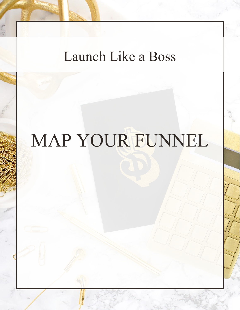## Launch Like a Boss

# MAP YOUR FUNNEL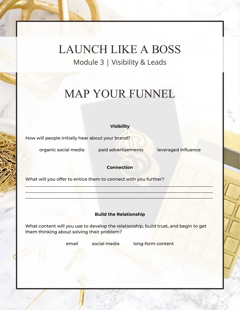LAUNCH LIKE A BOSS Module 3 | Visibility & Leads

### MAP YOUR FUNNEL

#### **Visibility**

How will people initially hear about your brand?

organic social media paid advertisements leveraged influence

### **Connection**

\_\_\_\_\_\_\_\_\_\_\_\_\_\_\_\_\_\_\_\_\_\_\_\_\_\_\_\_\_\_\_\_\_\_\_\_\_\_\_\_\_\_\_\_\_\_\_\_\_\_\_\_\_\_\_\_\_\_\_\_\_\_\_\_\_\_\_\_\_\_\_\_\_\_\_\_\_\_\_\_\_\_\_\_\_\_\_  $\Box$  $\Box$ 

What will you offer to entice them to connect with you further?

### **Build the Relationship**

What content will you use to develop the relationship, build trust, and begin to get them thinking about solving their problem?

email social media long-form content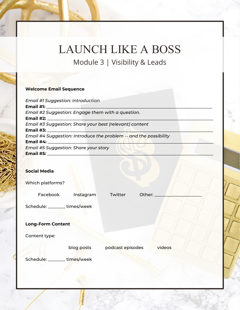### LAUNCH LIKE A BOSS Module 3 | Visibility & Leads

### **Welcome Email Sequence**

### **Social Media**

| Which platforms?         |            |                  |        |        |  |
|--------------------------|------------|------------------|--------|--------|--|
| Facebook                 | Instagram  | Twitter          | Other: |        |  |
| Schedule: ______         | times/week |                  |        |        |  |
| <b>Long-Form Content</b> |            |                  |        |        |  |
| Content type:            |            |                  |        |        |  |
|                          | blog posts | podcast episodes |        | videos |  |
| Schedule: __             | times/week |                  |        |        |  |
|                          |            |                  |        |        |  |